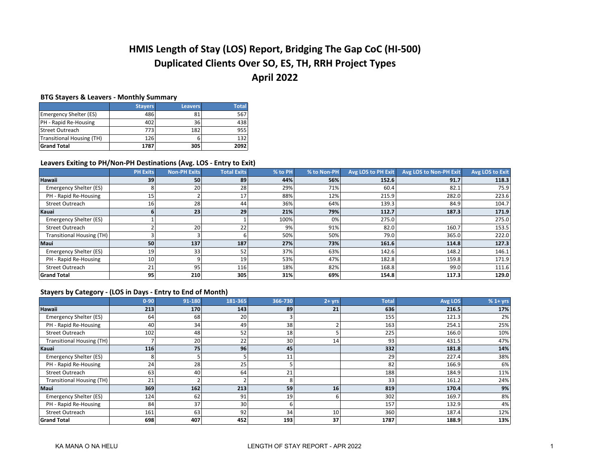# **HMIS Length of Stay (LOS) Report, Bridging The Gap CoC (HI-500) Duplicated Clients Over SO, ES, TH, RRH Project Types April 2022**

## **BTG Stayers & Leavers - Monthly Summary**

|                               | <b>Stavers</b> | Leavers | <b>Total</b> |
|-------------------------------|----------------|---------|--------------|
| <b>Emergency Shelter (ES)</b> | 486            | 81      | 567          |
| PH - Rapid Re-Housing         | 402            | 36      | 438          |
| <b>Street Outreach</b>        | 773            | 182     | 955          |
| Transitional Housing (TH)     | 126            |         | 132          |
| <b>Grand Total</b>            | 1787           | 305     | 2092         |

#### **Leavers Exiting to PH/Non-PH Destinations (Avg. LOS - Entry to Exit)**

|                                  | <b>PH Exits</b> | <b>Non-PH Exits</b> | <b>Total Exits</b> | % to PH | % to Non-PH | Avg LOS to PH Exit | Avg LOS to Non-PH Exit | Avg LOS to Exit |
|----------------------------------|-----------------|---------------------|--------------------|---------|-------------|--------------------|------------------------|-----------------|
| <b>Hawaii</b>                    | 39              | 50                  | 89                 | 44%     | 56%         | 152.6              | 91.7                   | 118.3           |
| Emergency Shelter (ES)           |                 | 20                  | 28                 | 29%     | 71%         | 60.4               | 82.1                   | 75.9            |
| PH - Rapid Re-Housing            |                 |                     | 17                 | 88%     | 12%         | 215.9              | 282.0                  | 223.6           |
| <b>Street Outreach</b>           | 16              | 28                  | 44                 | 36%     | 64%         | 139.3              | 84.9                   | 104.7           |
| Kauai                            |                 | 23                  | 29                 | 21%     | 79%         | 112.7              | 187.3                  | 171.9           |
| Emergency Shelter (ES)           |                 |                     |                    | 100%    | 0%          | 275.0              |                        | 275.0           |
| <b>Street Outreach</b>           |                 | 20                  | 22                 | 9%      | 91%         | 82.0               | 160.7                  | 153.5           |
| <b>Transitional Housing (TH)</b> |                 |                     |                    | 50%     | 50%         | 79.0               | 365.0                  | 222.0           |
| Maui                             | 50              | 137                 | 187                | 27%     | 73%         | 161.6              | 114.8                  | 127.3           |
| Emergency Shelter (ES)           | 19              | 33                  | 52                 | 37%     | 63%         | 142.6              | 148.2                  | 146.1           |
| PH - Rapid Re-Housing            | 10              |                     | 19                 | 53%     | 47%         | 182.8              | 159.8                  | 171.9           |
| <b>Street Outreach</b>           | 21              | 95                  | 116                | 18%     | 82%         | 168.8              | 99.0                   | 111.6           |
| <b>Grand Total</b>               | 95              | 210                 | 305                | 31%     | 69%         | 154.8              | 117.3                  | 129.0           |

## **Stayers by Category - (LOS in Days - Entry to End of Month)**

|                                  | $0 - 90$ | 91-180 | 181-365 | 366-730         | $2 + yrs$ | <b>Total</b> | Avg LOS | $%1+$ yrs |
|----------------------------------|----------|--------|---------|-----------------|-----------|--------------|---------|-----------|
| <b>Hawaii</b>                    | 213      | 170    | 143     | 89              | 21        | 636          | 216.5   | 17%       |
| Emergency Shelter (ES)           | 64       | 68     | 20      |                 |           | 155          | 121.3   | 2%        |
| PH - Rapid Re-Housing            | 40       | 34     | 49      | 38              |           | 163          | 254.1   | 25%       |
| <b>Street Outreach</b>           | 102      | 48     | 52      | 18 <sub>1</sub> |           | 225          | 166.0   | 10%       |
| <b>Transitional Housing (TH)</b> |          | 20     | 22      | 30 <sub>1</sub> | 14        | 93           | 431.5   | 47%       |
| Kauai                            | 116      | 75     | 96      | 45              |           | 332          | 181.8   | 14%       |
| Emergency Shelter (ES)           | 8        |        | 5       | 11              |           | 29           | 227.4   | 38%       |
| PH - Rapid Re-Housing            | 24       | 28     | 25      |                 |           | 82           | 166.9   | 6%        |
| <b>Street Outreach</b>           | 63       | 40     | 64      | 21              |           | 188          | 184.9   | 11%       |
| <b>Transitional Housing (TH)</b> | 21       |        |         |                 |           | 33           | 161.2   | 24%       |
| <b>Maui</b>                      | 369      | 162    | 213     | 59              | 16        | 819          | 170.4   | 9%        |
| Emergency Shelter (ES)           | 124      | 62     | 91      | 19              |           | 302          | 169.7   | 8%        |
| PH - Rapid Re-Housing            | 84       | 37     | 30      | h               |           | 157          | 132.9   | 4%        |
| Street Outreach                  | 161      | 63     | 92      | 34              | 10        | 360          | 187.4   | 12%       |
| <b>Grand Total</b>               | 698      | 407    | 452     | 193             | 37        | 1787         | 188.9   | 13%       |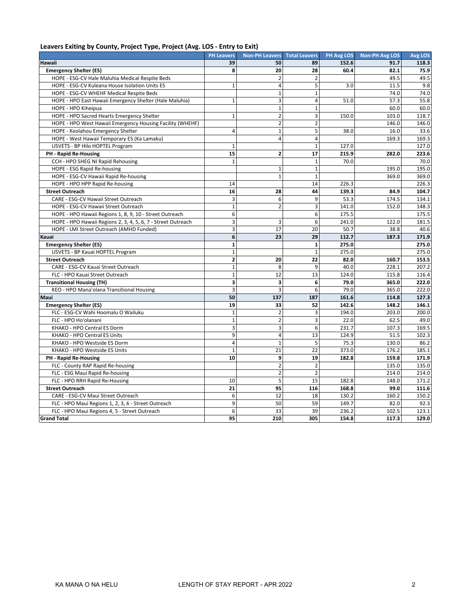## **Leavers Exiting by County, Project Type, Project (Avg. LOS - Entry to Exit)**

|                                                              | <b>PH Leavers</b>       | <b>Non-PH Leavers</b>   | <b>Total Leavers</b> | PH Avg LOS | <b>Non-PH Avg LOS</b> | <b>Avg LOS</b> |
|--------------------------------------------------------------|-------------------------|-------------------------|----------------------|------------|-----------------------|----------------|
| Hawaii                                                       | 39                      | 50                      | 89                   | 152.6      | 91.7                  | 118.3          |
| <b>Emergency Shelter (ES)</b>                                | 8                       | 20                      | 28                   | 60.4       | 82.1                  | 75.9           |
| HOPE - ESG-CV Hale Maluhia Medical Respite Beds              |                         | $\overline{2}$          | $\overline{2}$       |            | 49.5                  | 49.5           |
| HOPE - ESG-CV Kuleana House Isolation Units ES               | $\mathbf{1}$            | $\overline{4}$          | 5                    | 3.0        | 11.5                  | 9.8            |
| HOPE - ESG-CV WHEHF Medical Respite Beds                     |                         | $\mathbf{1}$            | $\mathbf{1}$         |            | 74.0                  | 74.0           |
| HOPE - HPO East Hawaii Emergency Shelter (Hale Maluhia)      | $\mathbf{1}$            | 3                       | 4                    | 51.0       | 57.3                  | 55.8           |
| HOPE - HPO Kiheipua                                          |                         | $\mathbf{1}$            | $\mathbf{1}$         |            | 60.0                  | 60.0           |
| HOPE - HPO Sacred Hearts Emergency Shelter                   | $\mathbf{1}$            | $\overline{2}$          | 3                    | 150.0      | 103.0                 | 118.7          |
| HOPE - HPO West Hawaii Emergency Housing Facility (WHEHF)    |                         | $\overline{2}$          | $\overline{2}$       |            | 146.0                 | 146.0          |
| HOPE - Keolahou Emergency Shelter                            | 4                       | $\mathbf{1}$            | 5                    | 38.0       | 16.0                  | 33.6           |
| HOPE - West Hawaii Temporary ES (Ka Lamaku)                  |                         | $\overline{4}$          | $\overline{4}$       |            | 169.3                 | 169.3          |
| USVETS - BP Hilo HOPTEL Program                              | $\mathbf{1}$            |                         | $\mathbf{1}$         | 127.0      |                       | 127.0          |
| PH - Rapid Re-Housing                                        | 15                      | $\overline{2}$          | 17                   | 215.9      | 282.0                 | 223.6          |
| CCH - HPO SHEG NI Rapid Rehousing                            | $\mathbf{1}$            |                         | $\mathbf{1}$         | 70.0       |                       | 70.0           |
| HOPE - ESG Rapid Re-housing                                  |                         | $\mathbf 1$             | $\mathbf 1$          |            | 195.0                 | 195.0          |
| HOPE - ESG-CV Hawaii Rapid Re-housing                        |                         | $\mathbf 1$             | $\mathbf{1}$         |            | 369.0                 | 369.0          |
| HOPE - HPO HPP Rapid Re-housing                              | 14                      |                         | 14                   | 226.3      |                       | 226.3          |
| <b>Street Outreach</b>                                       | 16                      | 28                      | 44                   | 139.3      | 84.9                  | 104.7          |
| CARE - ESG-CV Hawaii Street Outreach                         | 3                       | 6                       | 9                    | 53.3       | 174.5                 | 134.1          |
| HOPE - ESG-CV Hawaii Street Outreach                         | $\mathbf{1}$            | $\overline{2}$          | 3                    | 141.0      | 152.0                 | 148.3          |
| HOPE - HPO Hawaii Regions 1, 8, 9, 10 - Street Outreach      | 6                       |                         | 6                    | 175.5      |                       | 175.5          |
| HOPE - HPO Hawaii Regions 2, 3, 4, 5, 6, 7 - Street Outreach | 3                       | 3                       | 6                    | 241.0      | 122.0                 | 181.5          |
| HOPE - LMI Street Outreach (AMHD Funded)                     | 3                       | 17                      | 20                   | 50.7       | 38.8                  | 40.6           |
| Kauai                                                        | 6                       | 23                      | 29                   | 112.7      | 187.3                 | 171.9          |
| <b>Emergency Shelter (ES)</b>                                | $\mathbf{1}$            |                         | $\mathbf{1}$         | 275.0      |                       | 275.0          |
| USVETS - BP Kauai HOPTEL Program                             | $\mathbf{1}$            |                         | $\mathbf{1}$         | 275.0      |                       | 275.0          |
| <b>Street Outreach</b>                                       | $\overline{\mathbf{2}}$ | 20                      | 22                   | 82.0       | 160.7                 | 153.5          |
| CARE - ESG-CV Kauai Street Outreach                          | $\mathbf{1}$            | 8                       | 9                    | 40.0       | 228.1                 | 207.2          |
| FLC - HPO Kauai Street Outreach                              | $\mathbf{1}$            | 12                      | 13                   | 124.0      | 115.8                 | 116.4          |
| <b>Transitional Housing (TH)</b>                             | 3                       | 3                       | 6                    | 79.0       | 365.0                 | 222.0          |
| KEO - HPO Mana'olana Transitional Housing                    | 3                       | 3                       | 6                    | 79.0       | 365.0                 | 222.0          |
| Maui                                                         | 50                      | 137                     | 187                  | 161.6      | 114.8                 | 127.3          |
| <b>Emergency Shelter (ES)</b>                                | 19                      | 33                      | 52                   | 142.6      | 148.2                 | 146.1          |
| FLC - ESG-CV Wahi Hoomalu O Wailuku                          | $\mathbf 1$             | $\overline{2}$          | 3                    | 194.0      | 203.0                 | 200.0          |
| FLC - HPO Ho'olanani                                         | $\mathbf 1$             | $\overline{2}$          | 3                    | 22.0       | 62.5                  | 49.0           |
| KHAKO - HPO Central ES Dorm                                  | 3                       | 3                       | 6                    | 231.7      | 107.3                 | 169.5          |
| KHAKO - HPO Central ES Units                                 | 9                       | $\overline{\mathbf{4}}$ | 13                   | 124.9      | 51.5                  | 102.3          |
| KHAKO - HPO Westside ES Dorm                                 | 4                       | $\mathbf{1}$            | 5                    | 75.3       | 130.0                 | 86.2           |
| KHAKO - HPO Westside ES Units                                | $\mathbf{1}$            | 21                      | 22                   | 373.0      | 176.2                 | 185.1          |
| PH - Rapid Re-Housing                                        | 10                      | 9                       | 19                   | 182.8      | 159.8                 | 171.9          |
| FLC - County RAP Rapid Re-housing                            |                         | $\overline{2}$          | $\overline{2}$       |            | 135.0                 | 135.0          |
| FLC - ESG Maui Rapid Re-housing                              |                         | $\overline{2}$          | $\overline{2}$       |            | 214.0                 | 214.0          |
| FLC - HPO RRH Rapid Re-Housing                               | 10                      | 5                       | 15                   | 182.8      | 148.0                 | 171.2          |
| <b>Street Outreach</b>                                       | 21                      | 95                      | 116                  | 168.8      | 99.0                  | 111.6          |
| CARE - ESG-CV Maui Street Outreach                           | 6                       | 12                      | 18                   | 130.2      | 160.2                 | 150.2          |
| FLC - HPO Maui Regions 1, 2, 3, 6 - Street Outreach          | 9                       | 50                      | 59                   | 149.7      | 82.0                  | 92.3           |
| FLC - HPO Maui Regions 4, 5 - Street Outreach                | 6                       | 33                      | 39                   | 236.2      | 102.5                 | 123.1          |
| <b>Grand Total</b>                                           | 95                      | 210                     | 305                  | 154.8      | 117.3                 | 129.0          |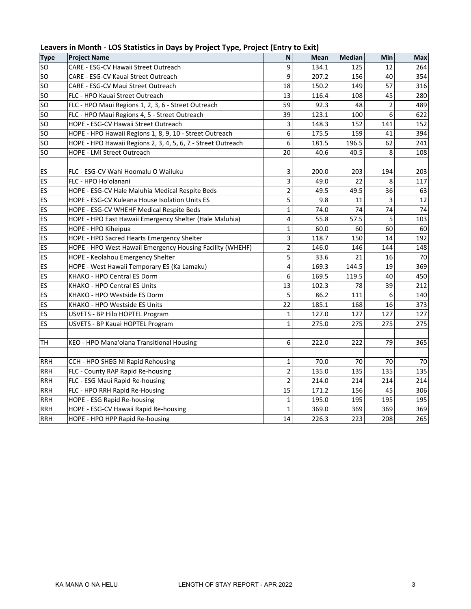| <b>Type</b>     | <b>Project Name</b>                                          | N              | Mean  | <b>Median</b> | Min            | Max |
|-----------------|--------------------------------------------------------------|----------------|-------|---------------|----------------|-----|
| <b>SO</b>       | CARE - ESG-CV Hawaii Street Outreach                         | 9              | 134.1 | 125           | 12             | 264 |
| SO.             | CARE - ESG-CV Kauai Street Outreach                          | 9              | 207.2 | 156           | 40             | 354 |
| SO              | CARE - ESG-CV Maui Street Outreach                           | 18             | 150.2 | 149           | 57             | 316 |
| <b>SO</b>       | FLC - HPO Kauai Street Outreach                              | 13             | 116.4 | 108           | 45             | 280 |
| <b>SO</b>       | FLC - HPO Maui Regions 1, 2, 3, 6 - Street Outreach          | 59             | 92.3  | 48            | $\overline{c}$ | 489 |
| <b>SO</b>       | FLC - HPO Maui Regions 4, 5 - Street Outreach                | 39             | 123.1 | 100           | 6              | 622 |
| <b>SO</b>       | HOPE - ESG-CV Hawaii Street Outreach                         | 3              | 148.3 | 152           | 141            | 152 |
| SO <sub>s</sub> | HOPE - HPO Hawaii Regions 1, 8, 9, 10 - Street Outreach      | 6              | 175.5 | 159           | 41             | 394 |
| <b>SO</b>       | HOPE - HPO Hawaii Regions 2, 3, 4, 5, 6, 7 - Street Outreach | 6              | 181.5 | 196.5         | 62             | 241 |
| SO              | HOPE - LMI Street Outreach                                   | 20             | 40.6  | 40.5          | 8              | 108 |
|                 |                                                              |                |       |               |                |     |
| ES              | FLC - ESG-CV Wahi Hoomalu O Wailuku                          | 3              | 200.0 | 203           | 194            | 203 |
| ES              | FLC - HPO Ho'olanani                                         | 3              | 49.0  | 22            | 8              | 117 |
| ES              | HOPE - ESG-CV Hale Maluhia Medical Respite Beds              | 2              | 49.5  | 49.5          | 36             | 63  |
| ES              | HOPE - ESG-CV Kuleana House Isolation Units ES               | 5              | 9.8   | 11            | 3              | 12  |
| ES              | HOPE - ESG-CV WHEHF Medical Respite Beds                     | $\mathbf{1}$   | 74.0  | 74            | 74             | 74  |
| ES              | HOPE - HPO East Hawaii Emergency Shelter (Hale Maluhia)      | 4              | 55.8  | 57.5          | 5              | 103 |
| ES              | HOPE - HPO Kiheipua                                          | $\mathbf{1}$   | 60.0  | 60            | 60             | 60  |
| ES              | HOPE - HPO Sacred Hearts Emergency Shelter                   | 3              | 118.7 | 150           | 14             | 192 |
| ES              | HOPE - HPO West Hawaii Emergency Housing Facility (WHEHF)    | 2              | 146.0 | 146           | 144            | 148 |
| ES              | HOPE - Keolahou Emergency Shelter                            | 5              | 33.6  | 21            | 16             | 70  |
| ES              | HOPE - West Hawaii Temporary ES (Ka Lamaku)                  | 4              | 169.3 | 144.5         | 19             | 369 |
| ES              | KHAKO - HPO Central ES Dorm                                  | 6              | 169.5 | 119.5         | 40             | 450 |
| ES              | KHAKO - HPO Central ES Units                                 | 13             | 102.3 | 78            | 39             | 212 |
| ES              | KHAKO - HPO Westside ES Dorm                                 | 5              | 86.2  | 111           | 6              | 140 |
| ES              | KHAKO - HPO Westside ES Units                                | 22             | 185.1 | 168           | 16             | 373 |
| ES              | USVETS - BP Hilo HOPTEL Program                              | $\mathbf{1}$   | 127.0 | 127           | 127            | 127 |
| ES              | USVETS - BP Kauai HOPTEL Program                             | $\mathbf{1}$   | 275.0 | 275           | 275            | 275 |
|                 |                                                              |                |       |               |                |     |
| <b>TH</b>       | KEO - HPO Mana'olana Transitional Housing                    | 6              | 222.0 | 222           | 79             | 365 |
|                 |                                                              |                |       |               |                |     |
| <b>RRH</b>      | CCH - HPO SHEG NI Rapid Rehousing                            | 1              | 70.0  | 70            | 70             | 70  |
| <b>RRH</b>      | FLC - County RAP Rapid Re-housing                            | 2              | 135.0 | 135           | 135            | 135 |
| <b>RRH</b>      | FLC - ESG Maui Rapid Re-housing                              | $\overline{2}$ | 214.0 | 214           | 214            | 214 |
| <b>RRH</b>      | FLC - HPO RRH Rapid Re-Housing                               | 15             | 171.2 | 156           | 45             | 306 |
| <b>RRH</b>      | HOPE - ESG Rapid Re-housing                                  | 1              | 195.0 | 195           | 195            | 195 |
| <b>RRH</b>      | HOPE - ESG-CV Hawaii Rapid Re-housing                        | $\mathbf{1}$   | 369.0 | 369           | 369            | 369 |
| <b>RRH</b>      | HOPE - HPO HPP Rapid Re-housing                              | 14             | 226.3 | 223           | 208            | 265 |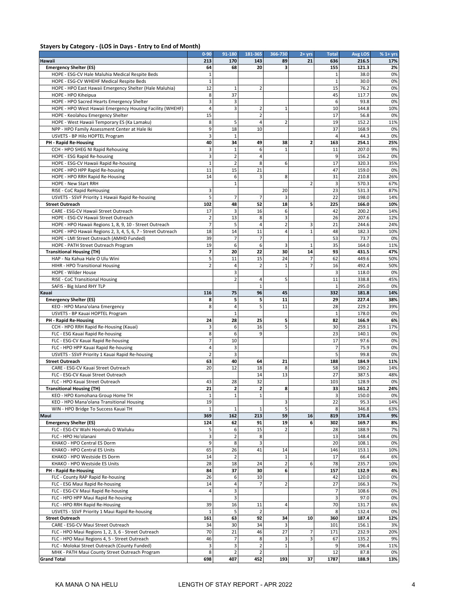#### **Stayers by Category - (LOS in Days - Entry to End of Month)**

|                                                              | $0 - 90$                 | 91-180                  | 181-365                 | 366-730        | $2 + yrs$      | <b>Total</b>   | Avg LOS | $%1+$ yrs |
|--------------------------------------------------------------|--------------------------|-------------------------|-------------------------|----------------|----------------|----------------|---------|-----------|
| Hawaii                                                       | 213                      | 170                     | 143                     | 89             | 21             | 636            | 216.5   | 17%       |
| <b>Emergency Shelter (ES)</b>                                | 64                       | 68                      | 20                      | 3              |                | 155            | 121.3   | 2%        |
| HOPE - ESG-CV Hale Maluhia Medical Respite Beds              | $\mathbf{1}$             |                         |                         |                |                |                | 38.0    | 0%        |
| HOPE - ESG-CV WHEHF Medical Respite Beds                     | $\mathbf{1}$             |                         |                         |                |                | $\mathbf{1}$   | 30.0    | 0%        |
| HOPE - HPO East Hawaii Emergency Shelter (Hale Maluhia)      | 12                       | 1                       | $\overline{2}$          |                |                | 15             | 76.2    | 0%        |
| HOPE - HPO Kiheipua                                          | 8                        | 37                      |                         |                |                | 45             | 117.7   | 0%        |
| HOPE - HPO Sacred Hearts Emergency Shelter                   | 3                        | 3                       |                         |                |                | 6              | 93.8    | 0%        |
| HOPE - HPO West Hawaii Emergency Housing Facility (WHEHF)    | $\overline{4}$           | 3                       | $\overline{\mathbf{c}}$ | $\mathbf{1}$   |                | 10             | 144.8   | 10%       |
| HOPE - Keolahou Emergency Shelter                            | 15                       |                         | $\overline{2}$          |                |                | 17             | 56.8    | 0%        |
| HOPE - West Hawaii Temporary ES (Ka Lamaku)                  | 8                        | 5                       | 4                       | $\overline{2}$ |                | 19             | 152.2   | 11%       |
| NPP - HPO Family Assessment Center at Hale Iki               | 9                        | 18                      | 10                      |                |                | 37             | 168.9   | 0%        |
| USVETS - BP Hilo HOPTEL Program                              | 3                        | $\mathbf{1}$            |                         |                |                | $\overline{4}$ | 44.3    | 0%        |
| <b>PH - Rapid Re-Housing</b>                                 | 40                       | 34                      | 49                      | 38             | 2              | 163            | 254.1   | 25%       |
| CCH - HPO SHEG NI Rapid Rehousing                            | 3                        | $\mathbf{1}$            | 6                       | $\mathbf 1$    |                | 11             | 207.0   | 9%        |
| HOPE - ESG Rapid Re-housing                                  | 3                        | $\mathbf 2$             | $\overline{4}$          |                |                | 9              | 156.2   | 0%        |
| HOPE - ESG-CV Hawaii Rapid Re-housing                        | $\mathbf{1}$             | $\overline{2}$          | 8                       | 6              |                | 17             | 320.3   | 35%       |
| HOPE - HPO HPP Rapid Re-housing                              | 11                       | 15                      | 21                      |                |                | 47             | 159.0   | 0%        |
|                                                              | 14                       | 6                       | 3                       | 8              |                | 31             | 210.8   | 26%       |
| HOPE - HPO RRH Rapid Re-Housing<br>HOPE - New Start RRH      |                          | $\mathbf{1}$            |                         |                | $\overline{2}$ | 3              | 570.3   | 67%       |
|                                                              |                          |                         |                         |                |                | 23             | 531.3   |           |
| RISE - CoC Rapid ReHousing                                   | 3<br>5                   |                         | $\overline{7}$          | 20             |                |                |         | 87%       |
| USVETS - SSVF Priority 1 Hawaii Rapid Re-housing             |                          | $\overline{7}$          |                         | 3              |                | 22             | 198.0   | 14%       |
| <b>Street Outreach</b>                                       | 102                      | 48                      | 52                      | 18             | 5              | 225            | 166.0   | 10%       |
| CARE - ESG-CV Hawaii Street Outreach                         | 17                       | 3                       | 16                      | 6              |                | 42             | 200.2   | 14%       |
| HOPE - ESG-CV Hawaii Street Outreach                         | $\overline{2}$           | 13                      | 8                       | 3              |                | 26             | 207.6   | 12%       |
| HOPE - HPO Hawaii Regions 1, 8, 9, 10 - Street Outreach      | $\overline{7}$           | 5                       | $\overline{4}$          | $\overline{2}$ | 3              | 21             | 244.6   | 24%       |
| HOPE - HPO Hawaii Regions 2, 3, 4, 5, 6, 7 - Street Outreach | 18                       | 14                      | 11                      | 4              | $\mathbf{1}$   | 48             | 182.3   | 10%       |
| HOPE - LMI Street Outreach (AMHD Funded)                     | 39                       | $\overline{7}$          | $\overline{7}$          |                |                | 53             | 73.7    | 0%        |
| HOPE - PATH Street Outreach Program                          | 19                       | 6                       | 6                       | 3              | $\mathbf{1}$   | 35             | 164.0   | 11%       |
| <b>Transitional Housing (TH)</b>                             | $\overline{\phantom{a}}$ | 20                      | 22                      | 30             | 14             | 93             | 431.5   | 47%       |
| HAP - Na Kahua Hale O Ulu Wini                               | 5                        | 11                      | 15                      | 24             | $\overline{7}$ | 62             | 449.6   | 50%       |
| HIHR - HPO Transitional Housing                              | $\overline{2}$           | 4                       | $\overline{2}$          | $\mathbf{1}$   | $\overline{7}$ | 16             | 492.4   | 50%       |
| HOPE - Wilder House                                          |                          | 3                       |                         |                |                | 3              | 118.0   | 0%        |
| RISE - CoC Transitional Housing                              |                          | $\overline{2}$          | 4                       | 5              |                | 11             | 338.8   | 45%       |
| SAFIS - Big Island RHY TLP                                   |                          |                         | $\mathbf{1}$            |                |                | $\mathbf{1}$   | 295.0   | 0%        |
| Kauai                                                        | 116                      | 75                      | 96                      | 45             |                | 332            | 181.8   | 14%       |
| <b>Emergency Shelter (ES)</b>                                | 8                        | 5                       | 5                       | 11             |                | 29             | 227.4   | 38%       |
| KEO - HPO Mana'olana Emergency                               | 8                        | 4                       | 5                       | 11             |                | 28             | 229.2   | 39%       |
| USVETS - BP Kauai HOPTEL Program                             |                          | $\mathbf{1}$            |                         |                |                | $\mathbf{1}$   | 178.0   | 0%        |
| PH - Rapid Re-Housing                                        | 24                       | 28                      | 25                      | 5              |                | 82             | 166.9   | 6%        |
| CCH - HPO RRH Rapid Re-Housing (Kauai)                       | 3                        | 6                       | 16                      | 5              |                | 30             | 259.1   | 17%       |
|                                                              | 8                        | 6                       | 9                       |                |                | 23             | 140.1   | 0%        |
| FLC - ESG Kauai Rapid Re-housing                             | $\overline{7}$           | 10                      |                         |                |                | 17             | 97.6    | 0%        |
| FLC - ESG-CV Kauai Rapid Re-housing                          |                          |                         |                         |                |                | $\overline{7}$ |         |           |
| FLC - HPO HPP Kauai Rapid Re-housing                         | 4                        | 3                       |                         |                |                |                | 75.9    | 0%        |
| USVETS - SSVF Priority 1 Kauai Rapid Re-housing              | $\overline{2}$           | 3                       |                         |                |                | 5              | 99.8    | 0%        |
| <b>Street Outreach</b>                                       | 63                       | 40                      | 64                      | 21             |                | 188            | 184.9   | 11%       |
| CARE - ESG-CV Kauai Street Outreach                          | 20                       | 12                      | 18                      | 8              |                | 58             | 190.2   | 14%       |
| FLC - ESG-CV Kauai Street Outreach                           |                          |                         | 14                      | 13             |                | 27             | 387.5   | 48%       |
| FLC - HPO Kauai Street Outreach                              | 43                       | 28                      | 32                      |                |                | 103            | 128.9   | 0%        |
| <b>Transitional Housing (TH)</b>                             | 21                       | 2                       | $\overline{\mathbf{c}}$ | 8              |                | 33             | 161.2   | 24%       |
| KEO - HPO Komohana Group Home TH                             | $\mathbf 1$              | $\mathbf 1$             | $\mathbf 1$             |                |                | э              | 150.0   | 0%        |
| KEO - HPO Mana'olana Transitional Housing                    | 19                       |                         |                         | 3              |                | 22             | 95.3    | 14%       |
| WIN - HPO Bridge To Success Kauai TH                         | $\mathbf{1}$             | $\mathbf{1}$            | $\mathbf 1$             | 5              |                | 8              | 346.8   | 63%       |
| Maui                                                         | 369                      | 162                     | 213                     | 59             | 16             | 819            | 170.4   | 9%        |
| <b>Emergency Shelter (ES)</b>                                | 124                      | 62                      | 91                      | 19             | 6              | 302            | 169.7   | 8%        |
| FLC - ESG-CV Wahi Hoomalu O Wailuku                          | 5                        | 6                       | 15                      | $\overline{2}$ |                | 28             | 188.9   | 7%        |
| FLC - HPO Ho'olanani                                         | 3                        | $\overline{2}$          | 8                       |                |                | 13             | 148.4   | 0%        |
| KHAKO - HPO Central ES Dorm                                  | 9                        | $\bf 8$                 | 3                       |                |                | 20             | 108.1   | 0%        |
| KHAKO - HPO Central ES Units                                 | 65                       | 26                      | 41                      | 14             |                | 146            | 153.1   | 10%       |
| KHAKO - HPO Westside ES Dorm                                 | 14                       | $\overline{2}$          |                         | $\mathbf 1$    |                | 17             | 66.4    | 6%        |
| KHAKO - HPO Westside ES Units                                | 28                       | 18                      | 24                      | $\overline{2}$ | 6              | 78             | 235.7   | 10%       |
| PH - Rapid Re-Housing                                        | 84                       | 37                      | 30                      | 6              |                | 157            | 132.9   | 4%        |
| FLC - County RAP Rapid Re-housing                            | 26                       | 6                       | 10                      |                |                | 42             | 120.0   | 0%        |
| FLC - ESG Maui Rapid Re-housing                              | 14                       | $\overline{a}$          | 7                       | $\overline{2}$ |                | 27             | 166.3   | 7%        |
| FLC - ESG-CV Maui Rapid Re-housing                           | $\overline{4}$           | 3                       |                         |                |                | $\overline{7}$ | 108.6   | 0%        |
| FLC - HPO HPP Maui Rapid Re-housing                          |                          | $\overline{\mathbf{3}}$ |                         |                |                | 3              | 97.0    | 0%        |
| FLC - HPO RRH Rapid Re-Housing                               | 39                       | 16                      | 11                      | $\overline{a}$ |                | 70             | 131.7   | 6%        |
| USVETS - SSVF Priority 1 Maui Rapid Re-housing               | $\mathbf{1}$             | 5                       | $\overline{2}$          |                |                | 8              | 132.4   | 0%        |
| <b>Street Outreach</b>                                       | 161                      | 63                      | 92                      | 34             | 10             | 360            | 187.4   | 12%       |
|                                                              | 34                       |                         | 34                      | 3              |                |                | 156.1   |           |
| CARE - ESG-CV Maui Street Outreach                           |                          | 30                      |                         |                |                | 101            |         | 3%        |
| FLC - HPO Maui Regions 1, 2, 3, 6 - Street Outreach          | 70                       | 21                      | 46                      | 27             | 7              | 171            | 232.9   | 20%       |
| FLC - HPO Maui Regions 4, 5 - Street Outreach                | 46                       | $\overline{7}$          | 8                       | 3              | 3              | 67             | 135.2   | 9%        |
| FLC - Molokai Street Outreach (County Funded)                | 3                        | 3                       | $\mathbf 2$             | $\mathbf 1$    |                | 9              | 196.4   | 11%       |
| MHK - PATH Maui County Street Outreach Program               | 8                        | $\overline{2}$          | $\overline{2}$          |                |                | 12             | 87.8    | 0%        |
| <b>Grand Total</b>                                           | 698                      | 407                     | 452                     | 193            | 37             | 1787           | 188.9   | 13%       |